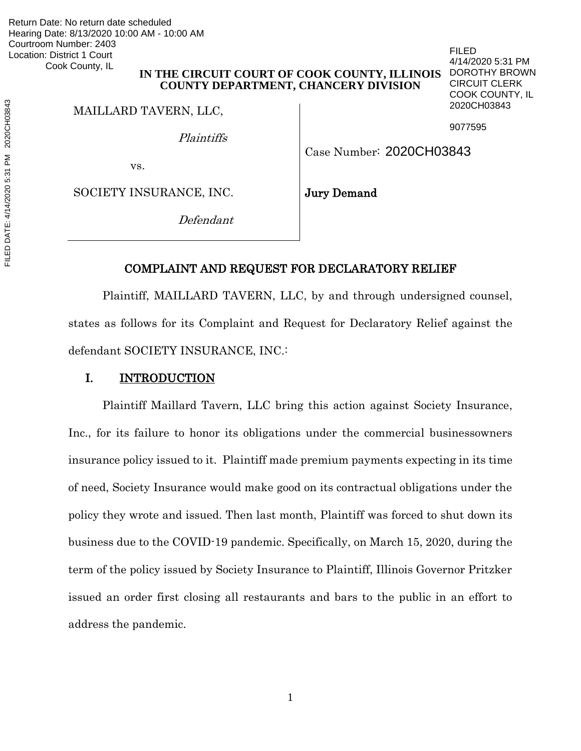Return Date: No return date scheduled Hearing Date: 8/13/2020 10:00 AM - 10:00 AM Courtroom Number: 2403 Location: District 1 Court Cook County, IL

## **IN THE CIRCUIT COURT OF COOK COUNTY, ILLINOIS COUNTY DEPARTMENT, CHANCERY DIVISION**

MAILLARD TAVERN, LLC,

Plaintiffs

9077595

FILED

4/14/2020 5:31 PM DOROTHY BROWN CIRCUIT CLERK COOK COUNTY, IL 2020CH03843

Case Number: 2020CH03843

vs.

SOCIETY INSURANCE, INC.

Jury Demand

Defendant

### COMPLAINT AND REQUEST FOR DECLARATORY RELIEF

 Plaintiff, MAILLARD TAVERN, LLC, by and through undersigned counsel, states as follows for its Complaint and Request for Declaratory Relief against the defendant SOCIETY INSURANCE, INC.:

# I. INTRODUCTION

Plaintiff Maillard Tavern, LLC bring this action against Society Insurance, Inc., for its failure to honor its obligations under the commercial businessowners insurance policy issued to it. Plaintiff made premium payments expecting in its time of need, Society Insurance would make good on its contractual obligations under the policy they wrote and issued. Then last month, Plaintiff was forced to shut down its business due to the COVID-19 pandemic. Specifically, on March 15, 2020, during the term of the policy issued by Society Insurance to Plaintiff, Illinois Governor Pritzker issued an order first closing all restaurants and bars to the public in an effort to address the pandemic.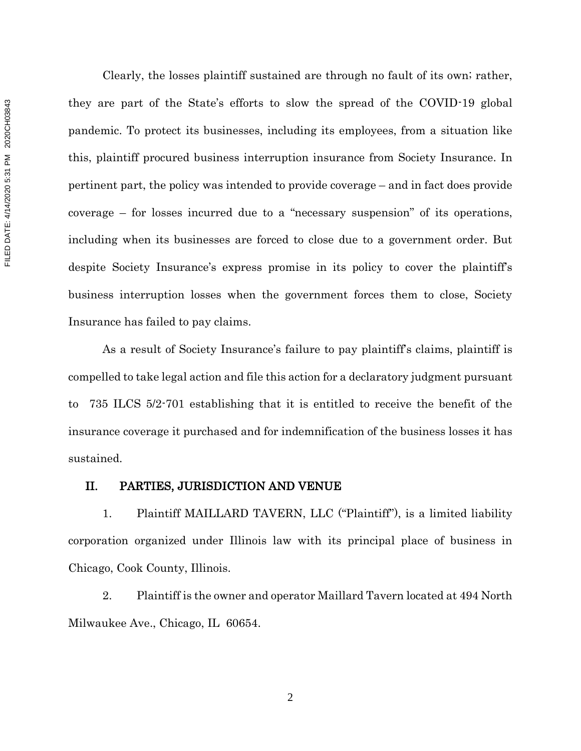Clearly, the losses plaintiff sustained are through no fault of its own; rather, they are part of the State's efforts to slow the spread of the COVID-19 global pandemic. To protect its businesses, including its employees, from a situation like this, plaintiff procured business interruption insurance from Society Insurance. In pertinent part, the policy was intended to provide coverage – and in fact does provide coverage – for losses incurred due to a "necessary suspension" of its operations, including when its businesses are forced to close due to a government order. But despite Society Insurance's express promise in its policy to cover the plaintiff's business interruption losses when the government forces them to close, Society Insurance has failed to pay claims.

As a result of Society Insurance's failure to pay plaintiff's claims, plaintiff is compelled to take legal action and file this action for a declaratory judgment pursuant to 735 ILCS 5/2-701 establishing that it is entitled to receive the benefit of the insurance coverage it purchased and for indemnification of the business losses it has sustained.

#### II. PARTIES, JURISDICTION AND VENUE

1. Plaintiff MAILLARD TAVERN, LLC ("Plaintiff"), is a limited liability corporation organized under Illinois law with its principal place of business in Chicago, Cook County, Illinois.

2. Plaintiff is the owner and operator Maillard Tavern located at 494 North Milwaukee Ave., Chicago, IL 60654.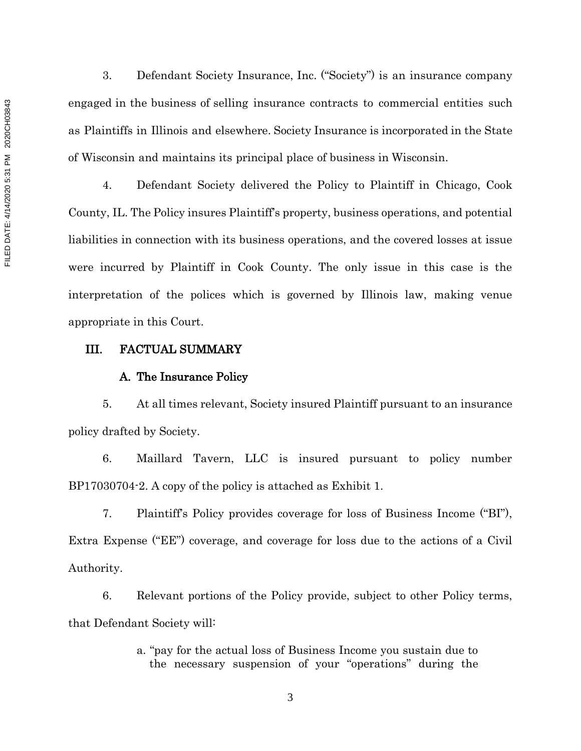3. Defendant Society Insurance, Inc. ("Society") is an insurance company engaged in the business of selling insurance contracts to commercial entities such as Plaintiffs in Illinois and elsewhere. Society Insurance is incorporated in the State of Wisconsin and maintains its principal place of business in Wisconsin.

4. Defendant Society delivered the Policy to Plaintiff in Chicago, Cook County, IL. The Policy insures Plaintiff's property, business operations, and potential liabilities in connection with its business operations, and the covered losses at issue were incurred by Plaintiff in Cook County. The only issue in this case is the interpretation of the polices which is governed by Illinois law, making venue appropriate in this Court.

#### III. FACTUAL SUMMARY

#### A. The Insurance Policy

5. At all times relevant, Society insured Plaintiff pursuant to an insurance policy drafted by Society.

6. Maillard Tavern, LLC is insured pursuant to policy number BP17030704-2. A copy of the policy is attached as Exhibit 1.

7. Plaintiff's Policy provides coverage for loss of Business Income ("BI"), Extra Expense ("EE") coverage, and coverage for loss due to the actions of a Civil Authority.

6. Relevant portions of the Policy provide, subject to other Policy terms, that Defendant Society will:

> a. "pay for the actual loss of Business Income you sustain due to the necessary suspension of your "operations" during the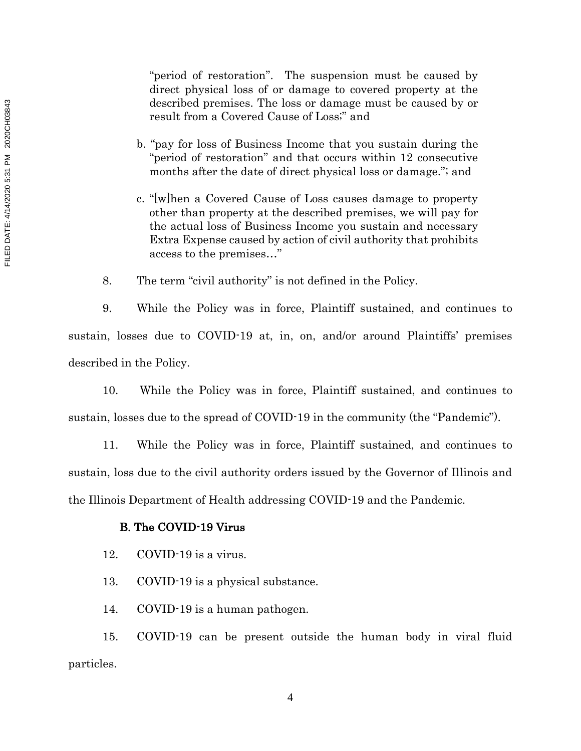"period of restoration". The suspension must be caused by direct physical loss of or damage to covered property at the described premises. The loss or damage must be caused by or result from a Covered Cause of Loss;" and

- b. "pay for loss of Business Income that you sustain during the "period of restoration" and that occurs within 12 consecutive months after the date of direct physical loss or damage."; and
- c. "[w]hen a Covered Cause of Loss causes damage to property other than property at the described premises, we will pay for the actual loss of Business Income you sustain and necessary Extra Expense caused by action of civil authority that prohibits access to the premises…"

8. The term "civil authority" is not defined in the Policy.

9. While the Policy was in force, Plaintiff sustained, and continues to sustain, losses due to COVID-19 at, in, on, and/or around Plaintiffs' premises described in the Policy.

10. While the Policy was in force, Plaintiff sustained, and continues to sustain, losses due to the spread of COVID-19 in the community (the "Pandemic").

11. While the Policy was in force, Plaintiff sustained, and continues to sustain, loss due to the civil authority orders issued by the Governor of Illinois and the Illinois Department of Health addressing COVID-19 and the Pandemic.

#### B. The COVID-19 Virus

- 12. COVID-19 is a virus.
- 13. COVID-19 is a physical substance.
- 14. COVID-19 is a human pathogen.

15. COVID-19 can be present outside the human body in viral fluid particles.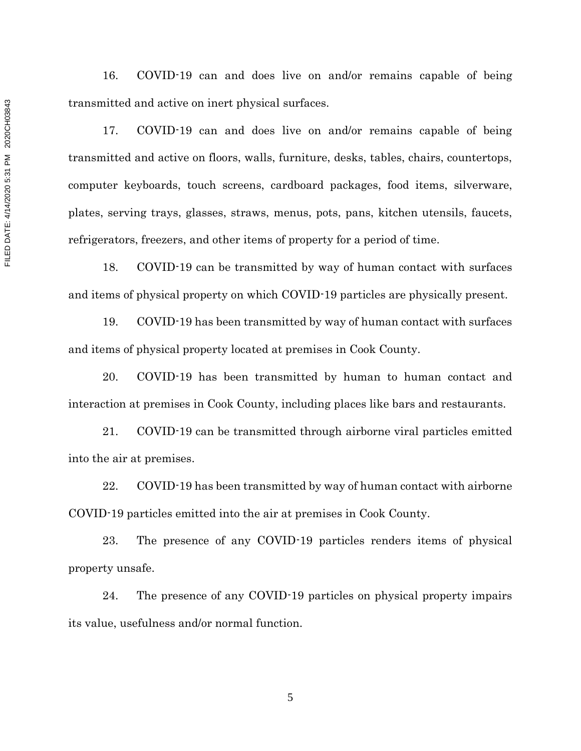16. COVID-19 can and does live on and/or remains capable of being transmitted and active on inert physical surfaces.

17. COVID-19 can and does live on and/or remains capable of being transmitted and active on floors, walls, furniture, desks, tables, chairs, countertops, computer keyboards, touch screens, cardboard packages, food items, silverware, plates, serving trays, glasses, straws, menus, pots, pans, kitchen utensils, faucets, refrigerators, freezers, and other items of property for a period of time.

18. COVID-19 can be transmitted by way of human contact with surfaces and items of physical property on which COVID-19 particles are physically present.

19. COVID-19 has been transmitted by way of human contact with surfaces and items of physical property located at premises in Cook County.

20. COVID-19 has been transmitted by human to human contact and interaction at premises in Cook County, including places like bars and restaurants.

21. COVID-19 can be transmitted through airborne viral particles emitted into the air at premises.

22. COVID-19 has been transmitted by way of human contact with airborne COVID-19 particles emitted into the air at premises in Cook County.

23. The presence of any COVID-19 particles renders items of physical property unsafe.

24. The presence of any COVID-19 particles on physical property impairs its value, usefulness and/or normal function.

FILED DATE: 4/14/2020 5:31 PM 2020CH03843 FILED DATE: 4/14/2020 5:31 PM 2020CH03843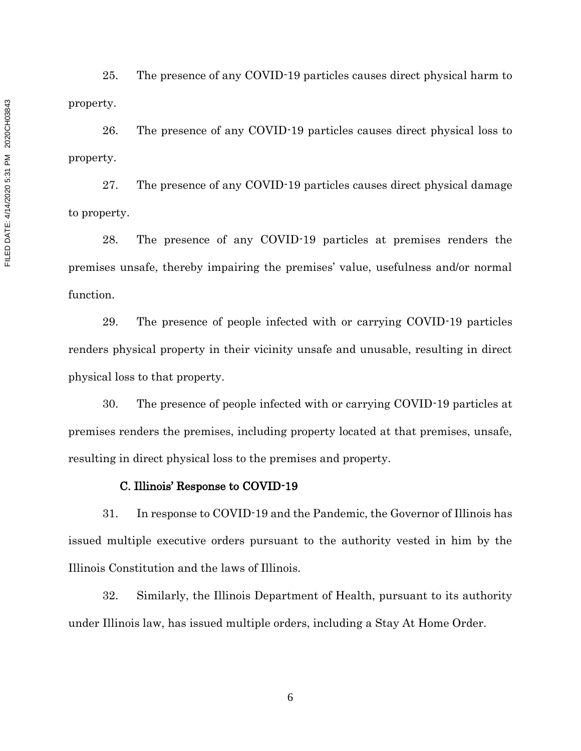25. The presence of any COVID-19 particles causes direct physical harm to property.

26. The presence of any COVID-19 particles causes direct physical loss to property.

27. The presence of any COVID-19 particles causes direct physical damage to property.

28. The presence of any COVID-19 particles at premises renders the premises unsafe, thereby impairing the premises' value, usefulness and/or normal function.

29. The presence of people infected with or carrying COVID-19 particles renders physical property in their vicinity unsafe and unusable, resulting in direct physical loss to that property.

30. The presence of people infected with or carrying COVID-19 particles at premises renders the premises, including property located at that premises, unsafe, resulting in direct physical loss to the premises and property.

#### C. Illinois' Response to COVID-19

31. In response to COVID-19 and the Pandemic, the Governor of Illinois has issued multiple executive orders pursuant to the authority vested in him by the Illinois Constitution and the laws of Illinois.

32. Similarly, the Illinois Department of Health, pursuant to its authority under Illinois law, has issued multiple orders, including a Stay At Home Order.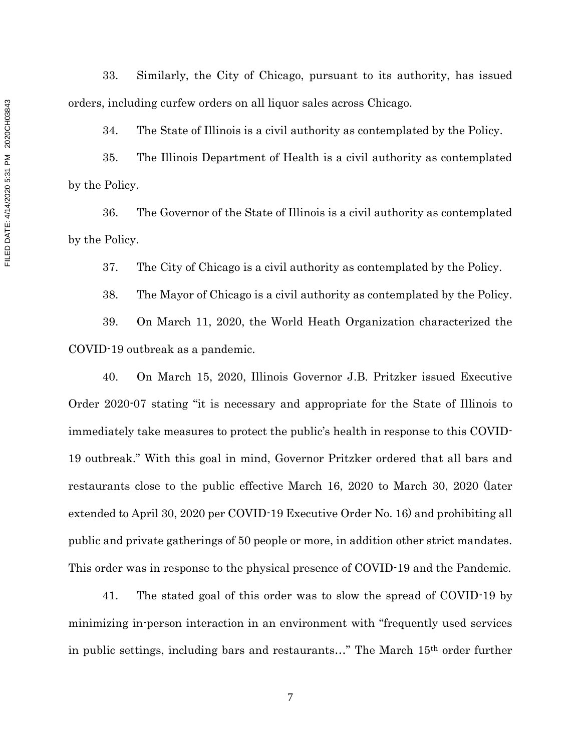33. Similarly, the City of Chicago, pursuant to its authority, has issued orders, including curfew orders on all liquor sales across Chicago.

34. The State of Illinois is a civil authority as contemplated by the Policy.

35. The Illinois Department of Health is a civil authority as contemplated by the Policy.

36. The Governor of the State of Illinois is a civil authority as contemplated by the Policy.

37. The City of Chicago is a civil authority as contemplated by the Policy.

38. The Mayor of Chicago is a civil authority as contemplated by the Policy.

39. On March 11, 2020, the World Heath Organization characterized the COVID-19 outbreak as a pandemic.

40. On March 15, 2020, Illinois Governor J.B. Pritzker issued Executive Order 2020-07 stating "it is necessary and appropriate for the State of Illinois to immediately take measures to protect the public's health in response to this COVID-19 outbreak." With this goal in mind, Governor Pritzker ordered that all bars and restaurants close to the public effective March 16, 2020 to March 30, 2020 (later extended to April 30, 2020 per COVID-19 Executive Order No. 16) and prohibiting all public and private gatherings of 50 people or more, in addition other strict mandates. This order was in response to the physical presence of COVID-19 and the Pandemic.

41. The stated goal of this order was to slow the spread of COVID-19 by minimizing in-person interaction in an environment with "frequently used services in public settings, including bars and restaurants…" The March 15th order further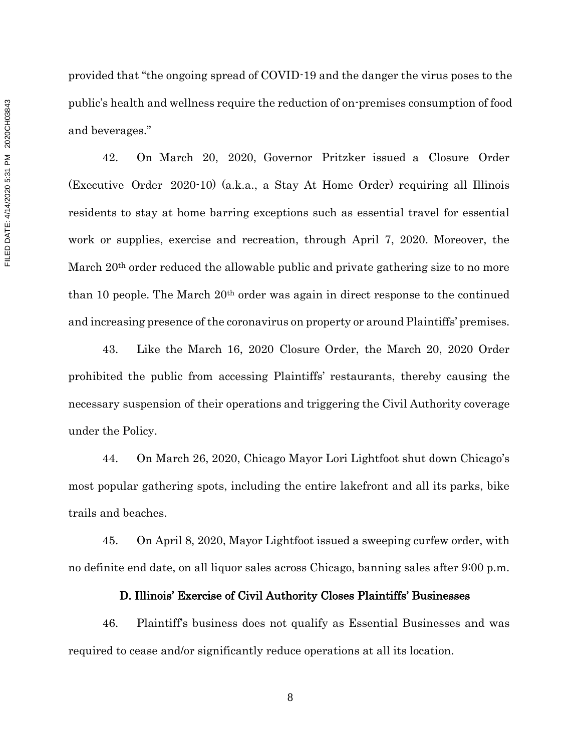provided that "the ongoing spread of COVID-19 and the danger the virus poses to the public's health and wellness require the reduction of on-premises consumption of food and beverages."

42. On March 20, 2020, Governor Pritzker issued a Closure Order (Executive Order 2020-10) (a.k.a., a Stay At Home Order) requiring all Illinois residents to stay at home barring exceptions such as essential travel for essential work or supplies, exercise and recreation, through April 7, 2020. Moreover, the March 20th order reduced the allowable public and private gathering size to no more than 10 people. The March  $20<sup>th</sup>$  order was again in direct response to the continued and increasing presence of the coronavirus on property or around Plaintiffs' premises.

43. Like the March 16, 2020 Closure Order, the March 20, 2020 Order prohibited the public from accessing Plaintiffs' restaurants, thereby causing the necessary suspension of their operations and triggering the Civil Authority coverage under the Policy.

44. On March 26, 2020, Chicago Mayor Lori Lightfoot shut down Chicago's most popular gathering spots, including the entire lakefront and all its parks, bike trails and beaches.

45. On April 8, 2020, Mayor Lightfoot issued a sweeping curfew order, with no definite end date, on all liquor sales across Chicago, banning sales after 9:00 p.m.

#### D. Illinois' Exercise of Civil Authority Closes Plaintiffs' Businesses

46. Plaintiff's business does not qualify as Essential Businesses and was required to cease and/or significantly reduce operations at all its location.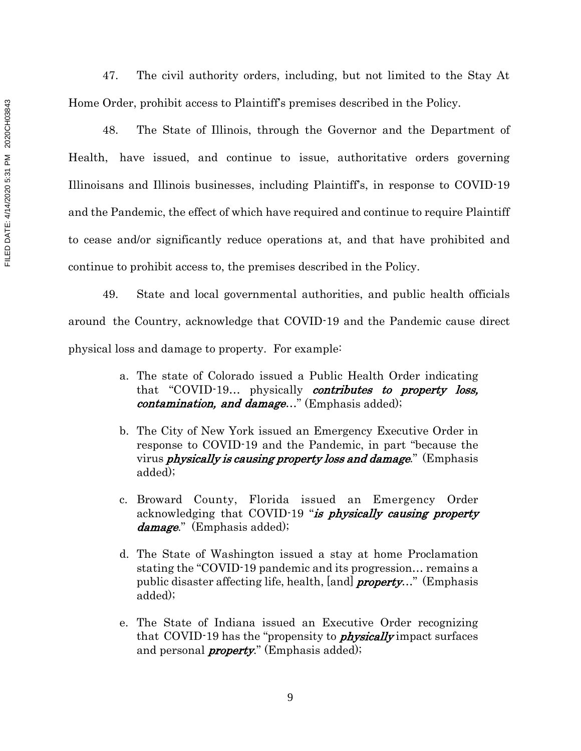47. The civil authority orders, including, but not limited to the Stay At Home Order, prohibit access to Plaintiff's premises described in the Policy.

48. The State of Illinois, through the Governor and the Department of Health, have issued, and continue to issue, authoritative orders governing Illinoisans and Illinois businesses, including Plaintiff's, in response to COVID-19 and the Pandemic, the effect of which have required and continue to require Plaintiff to cease and/or significantly reduce operations at, and that have prohibited and continue to prohibit access to, the premises described in the Policy.

49. State and local governmental authorities, and public health officials around the Country, acknowledge that COVID-19 and the Pandemic cause direct physical loss and damage to property. For example:

- a. The state of Colorado issued a Public Health Order indicating that "COVID-19... physically contributes to property loss, *contamination, and damage...*" (Emphasis added);
- b. The City of New York issued an Emergency Executive Order in response to COVID-19 and the Pandemic, in part "because the virus *physically is causing property loss and damage*." (Emphasis added);
- c. Broward County, Florida issued an Emergency Order acknowledging that COVID-19 "is physically causing property damage." (Emphasis added);
- d. The State of Washington issued a stay at home Proclamation stating the "COVID-19 pandemic and its progression… remains a public disaster affecting life, health, [and] *property...*" (Emphasis added);
- e. The State of Indiana issued an Executive Order recognizing that COVID-19 has the "propensity to **physically** impact surfaces and personal *property*." (Emphasis added);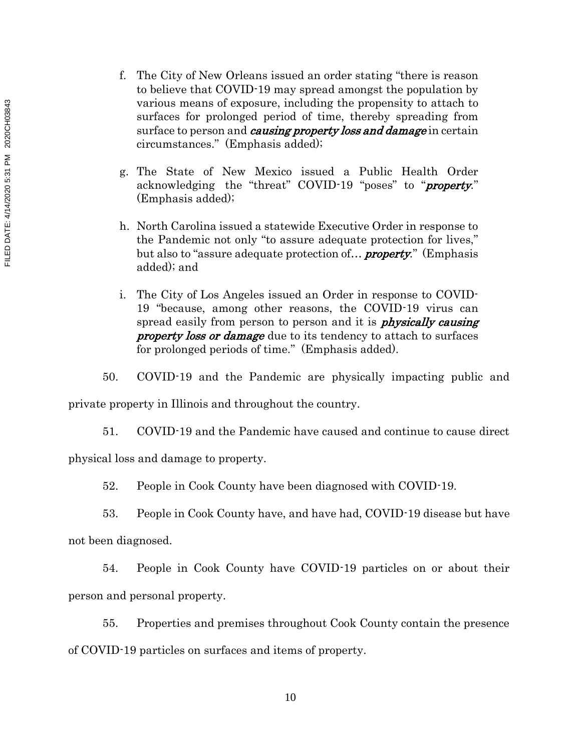- f. The City of New Orleans issued an order stating "there is reason to believe that COVID-19 may spread amongst the population by various means of exposure, including the propensity to attach to surfaces for prolonged period of time, thereby spreading from surface to person and *causing property loss and damage* in certain circumstances." (Emphasis added);
- g. The State of New Mexico issued a Public Health Order acknowledging the "threat" COVID-19 "poses" to "*property*." (Emphasis added);
- h. North Carolina issued a statewide Executive Order in response to the Pandemic not only "to assure adequate protection for lives," but also to "assure adequate protection of... **property.**" (Emphasis added); and
- i. The City of Los Angeles issued an Order in response to COVID-19 "because, among other reasons, the COVID-19 virus can spread easily from person to person and it is *physically causing* **property loss or damage** due to its tendency to attach to surfaces for prolonged periods of time." (Emphasis added).
- 50. COVID-19 and the Pandemic are physically impacting public and

private property in Illinois and throughout the country.

51. COVID-19 and the Pandemic have caused and continue to cause direct

physical loss and damage to property.

52. People in Cook County have been diagnosed with COVID-19.

53. People in Cook County have, and have had, COVID-19 disease but have not been diagnosed.

54. People in Cook County have COVID-19 particles on or about their person and personal property.

55. Properties and premises throughout Cook County contain the presence of COVID-19 particles on surfaces and items of property.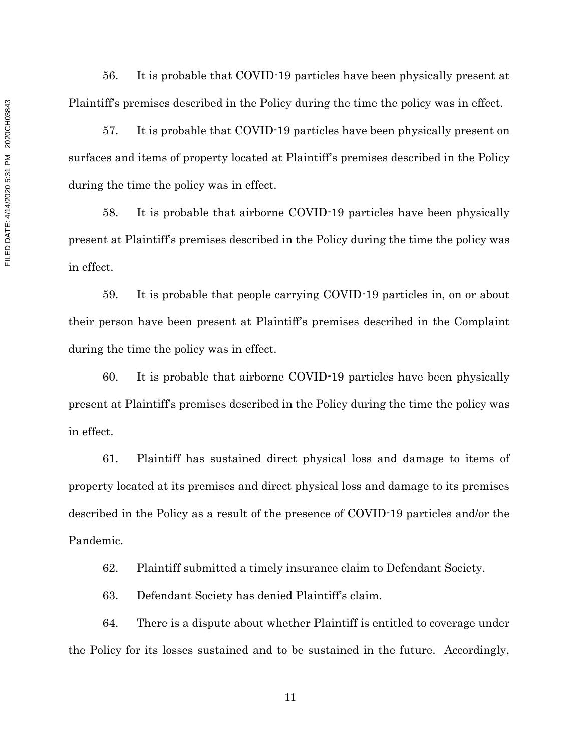56. It is probable that COVID-19 particles have been physically present at Plaintiff's premises described in the Policy during the time the policy was in effect.

57. It is probable that COVID-19 particles have been physically present on surfaces and items of property located at Plaintiff's premises described in the Policy during the time the policy was in effect.

58. It is probable that airborne COVID-19 particles have been physically present at Plaintiff's premises described in the Policy during the time the policy was in effect.

59. It is probable that people carrying COVID-19 particles in, on or about their person have been present at Plaintiff's premises described in the Complaint during the time the policy was in effect.

60. It is probable that airborne COVID-19 particles have been physically present at Plaintiff's premises described in the Policy during the time the policy was in effect.

61. Plaintiff has sustained direct physical loss and damage to items of property located at its premises and direct physical loss and damage to its premises described in the Policy as a result of the presence of COVID-19 particles and/or the Pandemic.

62. Plaintiff submitted a timely insurance claim to Defendant Society.

63. Defendant Society has denied Plaintiff's claim.

64. There is a dispute about whether Plaintiff is entitled to coverage under the Policy for its losses sustained and to be sustained in the future. Accordingly,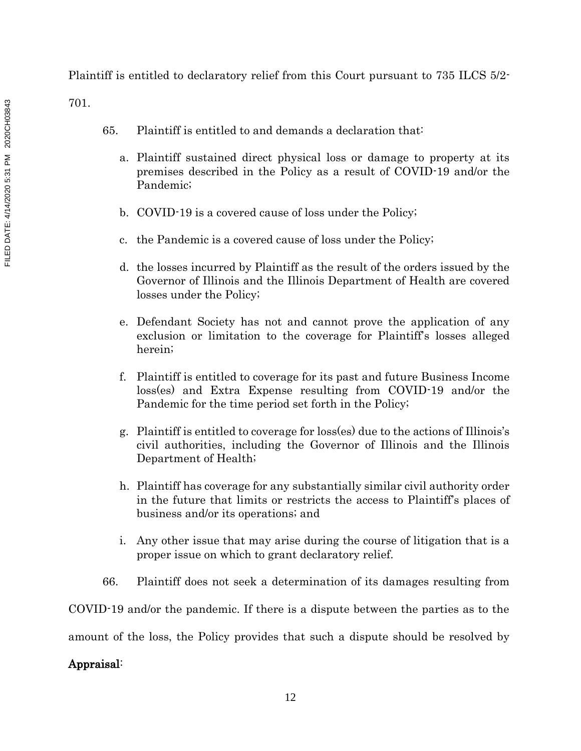Plaintiff is entitled to declaratory relief from this Court pursuant to 735 ILCS 5/2-

701.

- 65. Plaintiff is entitled to and demands a declaration that:
	- a. Plaintiff sustained direct physical loss or damage to property at its premises described in the Policy as a result of COVID-19 and/or the Pandemic;
	- b. COVID-19 is a covered cause of loss under the Policy;
	- c. the Pandemic is a covered cause of loss under the Policy;
	- d. the losses incurred by Plaintiff as the result of the orders issued by the Governor of Illinois and the Illinois Department of Health are covered losses under the Policy;
	- e. Defendant Society has not and cannot prove the application of any exclusion or limitation to the coverage for Plaintiff's losses alleged herein;
	- f. Plaintiff is entitled to coverage for its past and future Business Income loss(es) and Extra Expense resulting from COVID-19 and/or the Pandemic for the time period set forth in the Policy;
	- g. Plaintiff is entitled to coverage for loss(es) due to the actions of Illinois's civil authorities, including the Governor of Illinois and the Illinois Department of Health;
	- h. Plaintiff has coverage for any substantially similar civil authority order in the future that limits or restricts the access to Plaintiff's places of business and/or its operations; and
	- i. Any other issue that may arise during the course of litigation that is a proper issue on which to grant declaratory relief.
- 66. Plaintiff does not seek a determination of its damages resulting from

COVID-19 and/or the pandemic. If there is a dispute between the parties as to the

amount of the loss, the Policy provides that such a dispute should be resolved by

# Appraisal: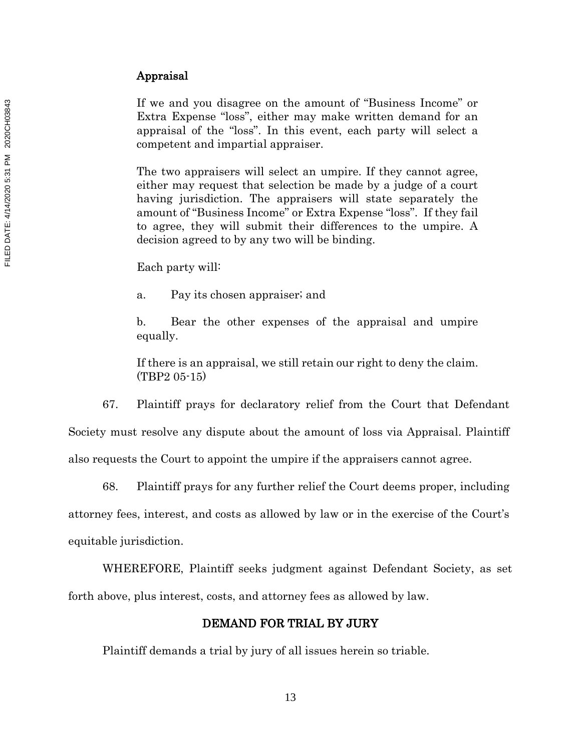If we and you disagree on the amount of "Business Income" or Extra Expense "loss", either may make written demand for an appraisal of the "loss". In this event, each party will select a competent and impartial appraiser.

The two appraisers will select an umpire. If they cannot agree, either may request that selection be made by a judge of a court having jurisdiction. The appraisers will state separately the amount of "Business Income" or Extra Expense "loss". If they fail to agree, they will submit their differences to the umpire. A decision agreed to by any two will be binding.

Each party will:

a. Pay its chosen appraiser; and

b. Bear the other expenses of the appraisal and umpire equally.

If there is an appraisal, we still retain our right to deny the claim. (TBP2 05-15)

67. Plaintiff prays for declaratory relief from the Court that Defendant Society must resolve any dispute about the amount of loss via Appraisal. Plaintiff

also requests the Court to appoint the umpire if the appraisers cannot agree.

68. Plaintiff prays for any further relief the Court deems proper, including attorney fees, interest, and costs as allowed by law or in the exercise of the Court's equitable jurisdiction. Flaxe and you disagree on the amount of "Business here"<br>extra Expense "loss", either may make written deman<br>approxed of the "loss". In this event, each party will<br>competent and impartial appraiser.<br>The two approximate sol

WHEREFORE, Plaintiff seeks judgment against Defendant Society, as set forth above, plus interest, costs, and attorney fees as allowed by law.

# DEMAND FOR TRIAL BY JURY